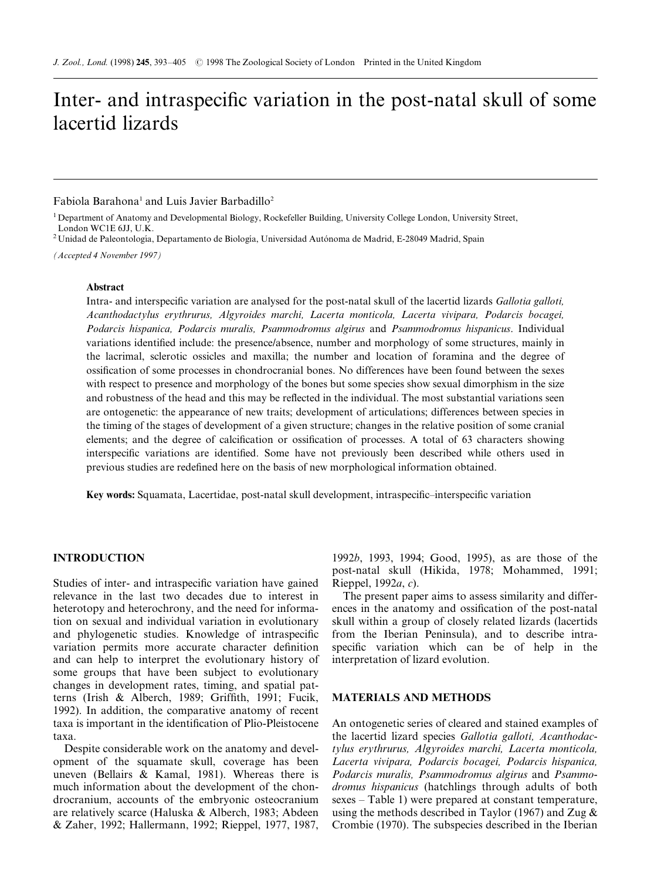# Inter- and intraspecific variation in the post-natal skull of some lacertid lizards

Fabiola Barahona<sup>1</sup> and Luis Javier Barbadillo<sup>2</sup>

<sup>1</sup> Department of Anatomy and Developmental Biology, Rockefeller Building, University College London, University Street, London WC1E 6JJ, U.K.

 $^2$ Unidad de Paleontología, Departamento de Biología, Universidad Autónoma de Madrid, E-28049 Madrid, Spain

(Accepted 4 November 1997)

## Abstract

Intra- and interspecific variation are analysed for the post-natal skull of the lacertid lizards Gallotia galloti, Acanthodactylus erythrurus, Algyroides marchi, Lacerta monticola, Lacerta vivipara, Podarcis bocagei, Podarcis hispanica, Podarcis muralis, Psammodromus algirus and Psammodromus hispanicus. Individual variations identified include: the presence/absence, number and morphology of some structures, mainly in the lacrimal, sclerotic ossicles and maxilla; the number and location of foramina and the degree of ossification of some processes in chondrocranial bones. No differences have been found between the sexes with respect to presence and morphology of the bones but some species show sexual dimorphism in the size and robustness of the head and this may be reflected in the individual. The most substantial variations seen are ontogenetic: the appearance of new traits; development of articulations; differences between species in the timing of the stages of development of a given structure; changes in the relative position of some cranial elements; and the degree of calcification or ossification of processes. A total of 63 characters showing interspecific variations are identified. Some have not previously been described while others used in previous studies are redefined here on the basis of new morphological information obtained.

Key words: Squamata, Lacertidae, post-natal skull development, intraspecific–interspecific variation

# INTRODUCTION

Studies of inter- and intraspecific variation have gained relevance in the last two decades due to interest in heterotopy and heterochrony, and the need for information on sexual and individual variation in evolutionary and phylogenetic studies. Knowledge of intraspecific variation permits more accurate character definition and can help to interpret the evolutionary history of some groups that have been subject to evolutionary changes in development rates, timing, and spatial patterns (Irish & Alberch, 1989; Griffith, 1991; Fucik, 1992). In addition, the comparative anatomy of recent taxa is important in the identification of Plio-Pleistocene taxa.

Despite considerable work on the anatomy and development of the squamate skull, coverage has been uneven (Bellairs & Kamal, 1981). Whereas there is much information about the development of the chondrocranium, accounts of the embryonic osteocranium are relatively scarce (Haluska & Alberch, 1983; Abdeen & Zaher, 1992; Hallermann, 1992; Rieppel, 1977, 1987, 1992b, 1993, 1994; Good, 1995), as are those of the post-natal skull (Hikida, 1978; Mohammed, 1991; Rieppel, 1992a, c).

The present paper aims to assess similarity and differences in the anatomy and ossification of the post-natal skull within a group of closely related lizards (lacertids from the Iberian Peninsula), and to describe intraspecific variation which can be of help in the interpretation of lizard evolution.

## MATERIALS AND METHODS

An ontogenetic series of cleared and stained examples of the lacertid lizard species Gallotia galloti, Acanthodactylus erythrurus, Algyroides marchi, Lacerta monticola, Lacerta vivipara, Podarcis bocagei, Podarcis hispanica, Podarcis muralis, Psammodromus algirus and Psammodromus hispanicus (hatchlings through adults of both  $sexes - Table 1$ ) were prepared at constant temperature, using the methods described in Taylor (1967) and Zug  $\&$ Crombie (1970). The subspecies described in the Iberian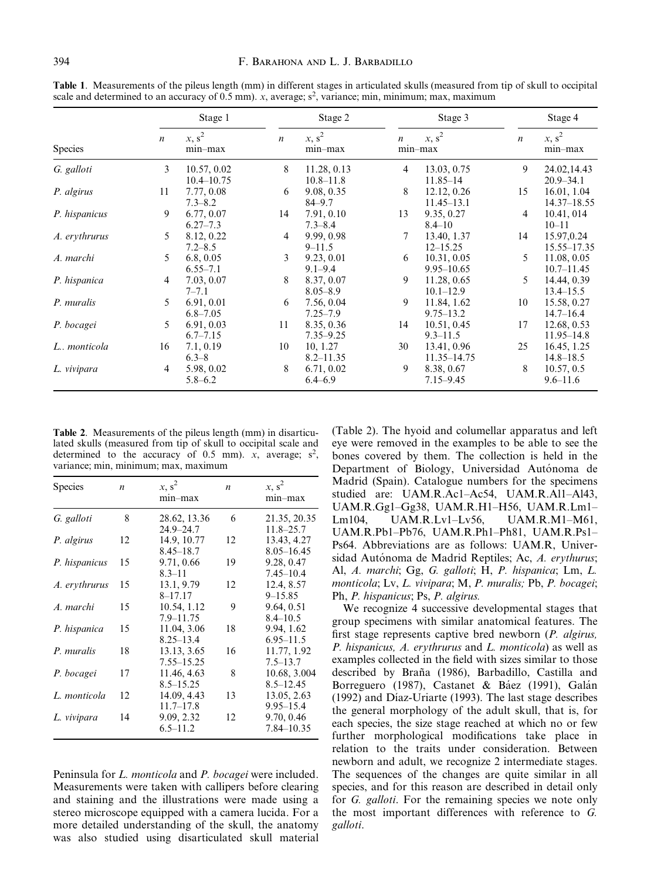Table 1. Measurements of the pileus length (mm) in different stages in articulated skulls (measured from tip of skull to occipital scale and determined to an accuracy of  $0.5$  mm). x, average;  $s^2$ , variance; min, minimum; max, maximum

| Species       | Stage 1          |                               | Stage 2          |                              | Stage 3        |                               | Stage 4          |                                |
|---------------|------------------|-------------------------------|------------------|------------------------------|----------------|-------------------------------|------------------|--------------------------------|
|               | $\boldsymbol{n}$ | $x, s^2$<br>$min-max$         | $\boldsymbol{n}$ | $x, s^2$<br>$min-max$        | $\mathfrak n$  | $x, s^2$<br>$min-max$         | $\boldsymbol{n}$ | $x, s^2$<br>$min-max$          |
| G. galloti    | 3                | 10.57, 0.02<br>$10.4 - 10.75$ | 8                | 11.28, 0.13<br>$10.8 - 11.8$ | $\overline{4}$ | 13.03, 0.75<br>$11.85 - 14$   | 9                | 24.02, 14.43<br>$20.9 - 34.1$  |
| P. algirus    | 11               | 7.77, 0.08<br>$7.3 - 8.2$     | 6                | 9.08, 0.35<br>$84 - 9.7$     | 8              | 12.12, 0.26<br>$11.45 - 13.1$ | 15               | 16.01, 1.04<br>$14.37 - 18.55$ |
| P. hispanicus | 9                | 6.77, 0.07<br>$6.27 - 7.3$    | 14               | 7.91, 0.10<br>$7.3 - 8.4$    | 13             | 9.35, 0.27<br>$8.4 - 10$      | 4                | 10.41, 014<br>$10 - 11$        |
| A. erythrurus | 5                | 8.12, 0.22<br>$7.2 - 8.5$     | 4                | 9.99, 0.98<br>$9 - 11.5$     | 7              | 13.40, 1.37<br>$12 - 15.25$   | 14               | 15.97.0.24<br>15.55–17.35      |
| A. marchi     | 5                | 6.8, 0.05<br>$6.55 - 7.1$     | 3                | 9.23, 0.01<br>$9.1 - 9.4$    | 6              | 10.31, 0.05<br>$9.95 - 10.65$ | 5                | 11.08, 0.05<br>$10.7 - 11.45$  |
| P. hispanica  | $\overline{4}$   | 7.03, 0.07<br>$7 - 7.1$       | 8                | 8.37, 0.07<br>$8.05 - 8.9$   | 9              | 11.28, 0.65<br>$10.1 - 12.9$  | 5                | 14.44, 0.39<br>$13.4 - 15.5$   |
| P. muralis    | 5                | 6.91, 0.01<br>$6.8 - 7.05$    | 6                | 7.56, 0.04<br>$7.25 - 7.9$   | 9              | 11.84, 1.62<br>$9.75 - 13.2$  | 10               | 15.58, 0.27<br>$14.7 - 16.4$   |
| P. bocagei    | 5                | 6.91, 0.03<br>$6.7 - 7.15$    | 11               | 8.35, 0.36<br>$7.35 - 9.25$  | 14             | 10.51, 0.45<br>$9.3 - 11.5$   | 17               | 12.68, 0.53<br>11.95-14.8      |
| L., monticola | 16               | 7.1, 0.19<br>$6.3 - 8$        | 10               | 10, 1.27<br>$8.2 - 11.35$    | 30             | 13.41, 0.96<br>11.35–14.75    | 25               | 16.45, 1.25<br>$14.8 - 18.5$   |
| L. vivipara   | 4                | 5.98, 0.02<br>$5.8 - 6.2$     | 8                | 6.71, 0.02<br>$6.4 - 6.9$    | 9              | 8.38, 0.67<br>$7.15 - 9.45$   | 8                | 10.57, 0.5<br>$9.6 - 11.6$     |

Table 2. Measurements of the pileus length (mm) in disarticulated skulls (measured from tip of skull to occipital scale and determined to the accuracy of 0.5 mm).  $x$ , average;  $s^2$ , variance; min, minimum; max, maximum

| Species       | $\boldsymbol{n}$ | $x, s^2$<br>$min-max$         | $\boldsymbol{n}$ | $x, s^2$<br>$min-max$         |
|---------------|------------------|-------------------------------|------------------|-------------------------------|
| G. galloti    | 8                | 28.62, 13.36<br>$24.9 - 24.7$ | 6                | 21.35, 20.35<br>$11.8 - 25.7$ |
| P. algirus    | 12               | 14.9, 10.77<br>$8.45 - 18.7$  | 12               | 13.43, 4.27<br>8.05-16.45     |
| P. hispanicus | 15               | 9.71, 0.66<br>$8.3 - 11$      | 19               | 9.28, 0.47<br>$7.45 - 10.4$   |
| A. erythrurus | 15               | 13.1, 9.79<br>$8 - 17.17$     | 12               | 12.4, 8.57<br>$9 - 15.85$     |
| A. marchi     | 15               | 10.54, 1.12<br>$7.9 - 11.75$  | 9                | 9.64, 0.51<br>$8.4 - 10.5$    |
| P. hispanica  | 15               | 11.04, 3.06<br>$8.25 - 13.4$  | 18               | 9.94, 1.62<br>$6.95 - 11.5$   |
| P. muralis    | 18               | 13.13, 3.65<br>7.55-15.25     | 16               | 11.77, 1.92<br>$7.5 - 13.7$   |
| P. bocagei    | 17               | 11.46, 4.63<br>$8.5 - 15.25$  | 8                | 10.68, 3.004<br>$8.5 - 12.45$ |
| L. monticola  | 12               | 14.09, 4.43<br>$11.7 - 17.8$  | 13               | 13.05, 2.63<br>$9.95 - 15.4$  |
| L. vivipara   | 14               | 9.09, 2.32<br>$6.5 - 11.2$    | 12               | 9.70, 0.46<br>7.84-10.35      |

Peninsula for L. monticola and P. bocagei were included. Measurements were taken with callipers before clearing and staining and the illustrations were made using a stereo microscope equipped with a camera lucida. For a more detailed understanding of the skull, the anatomy was also studied using disarticulated skull material

(Table 2). The hyoid and columellar apparatus and left eye were removed in the examples to be able to see the bones covered by them. The collection is held in the Department of Biology, Universidad Autónoma de Madrid (Spain). Catalogue numbers for the specimens studied are: UAM.R.Ac1-Ac54, UAM.R.Al1-Al43, UAM.R.Gg1-Gg38, UAM.R.H1-H56, UAM.R.Lm1-Lm104, UAM.R.Lv1-Lv56, UAM.R.M1-M61, UAM.R.Pb1-Pb76, UAM.R.Ph1-Ph81, UAM.R.Ps1-Ps64. Abbreviations are as follows: UAM.R, Universidad Autónoma de Madrid Reptiles; Ac, A. erythurus; Al, A. marchi; Gg, G. galloti; H, P. hispanica; Lm, L. monticola; Lv, L. vivipara; M, P. muralis; Pb, P. bocagei; Ph, P. hispanicus; Ps, P. algirus.

We recognize 4 successive developmental stages that group specimens with similar anatomical features. The first stage represents captive bred newborn (P. algirus, P. hispanicus, A. erythrurus and L. monticola) as well as examples collected in the field with sizes similar to those described by Braña (1986), Barbadillo, Castilla and Borreguero (1987), Castanet & Báez (1991), Galán (1992) and Díaz-Uriarte (1993). The last stage describes the general morphology of the adult skull, that is, for each species, the size stage reached at which no or few further morphological modifications take place in relation to the traits under consideration. Between newborn and adult, we recognize 2 intermediate stages. The sequences of the changes are quite similar in all species, and for this reason are described in detail only for G. galloti. For the remaining species we note only the most important differences with reference to G. galloti.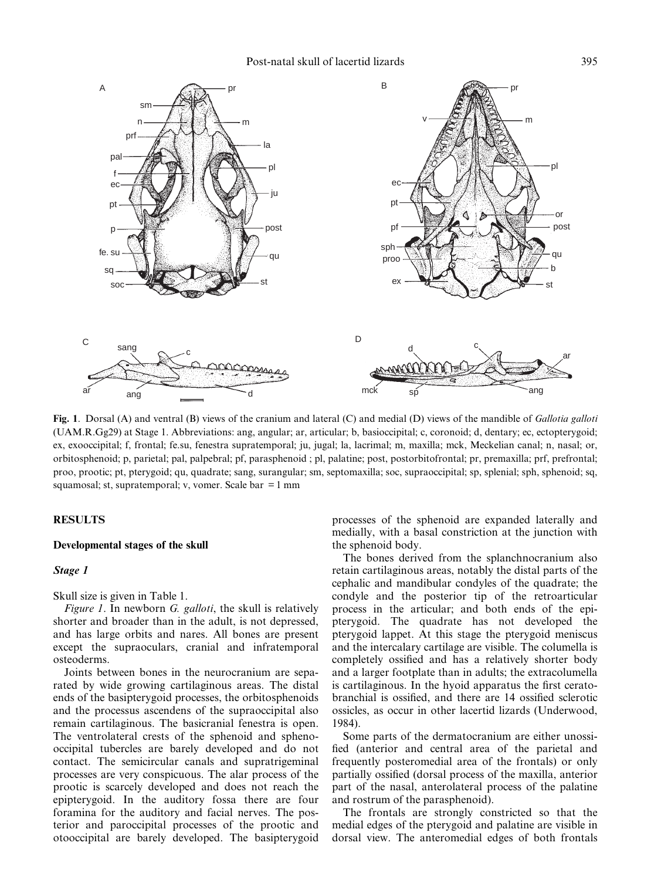

Fig. 1. Dorsal (A) and ventral (B) views of the cranium and lateral (C) and medial (D) views of the mandible of Gallotia galloti (UAM.R.Gg29) at Stage 1. Abbreviations: ang, angular; ar, articular; b, basioccipital; c, coronoid; d, dentary; ec, ectopterygoid; ex, exooccipital; f, frontal; fe.su, fenestra supratemporal; ju, jugal; la, lacrimal; m, maxilla; mck, Meckelian canal; n, nasal; or, orbitosphenoid; p, parietal; pal, palpebral; pf, parasphenoid ; pl, palatine; post, postorbitofrontal; pr, premaxilla; prf, prefrontal; proo, prootic; pt, pterygoid; qu, quadrate; sang, surangular; sm, septomaxilla; soc, supraoccipital; sp, splenial; sph, sphenoid; sq, squamosal; st, supratemporal; v, vomer. Scale bar  $= 1$  mm

# RESULTS

## Developmental stages of the skull

### Stage 1

Skull size is given in Table 1.

Figure 1. In newborn G. galloti, the skull is relatively shorter and broader than in the adult, is not depressed, and has large orbits and nares. All bones are present except the supraoculars, cranial and infratemporal osteoderms.

Joints between bones in the neurocranium are separated by wide growing cartilaginous areas. The distal ends of the basipterygoid processes, the orbitosphenoids and the processus ascendens of the supraoccipital also remain cartilaginous. The basicranial fenestra is open. The ventrolateral crests of the sphenoid and sphenooccipital tubercles are barely developed and do not contact. The semicircular canals and supratrigeminal processes are very conspicuous. The alar process of the prootic is scarcely developed and does not reach the epipterygoid. In the auditory fossa there are four foramina for the auditory and facial nerves. The posterior and paroccipital processes of the prootic and otooccipital are barely developed. The basipterygoid

processes of the sphenoid are expanded laterally and medially, with a basal constriction at the junction with the sphenoid body.

The bones derived from the splanchnocranium also retain cartilaginous areas, notably the distal parts of the cephalic and mandibular condyles of the quadrate; the condyle and the posterior tip of the retroarticular process in the articular; and both ends of the epipterygoid. The quadrate has not developed the pterygoid lappet. At this stage the pterygoid meniscus and the intercalary cartilage are visible. The columella is completely ossified and has a relatively shorter body and a larger footplate than in adults; the extracolumella is cartilaginous. In the hyoid apparatus the first ceratobranchial is ossified, and there are 14 ossified sclerotic ossicles, as occur in other lacertid lizards (Underwood, 1984).

Some parts of the dermatocranium are either unossi fied (anterior and central area of the parietal and frequently posteromedial area of the frontals) or only partially ossified (dorsal process of the maxilla, anterior part of the nasal, anterolateral process of the palatine and rostrum of the parasphenoid).

The frontals are strongly constricted so that the medial edges of the pterygoid and palatine are visible in dorsal view. The anteromedial edges of both frontals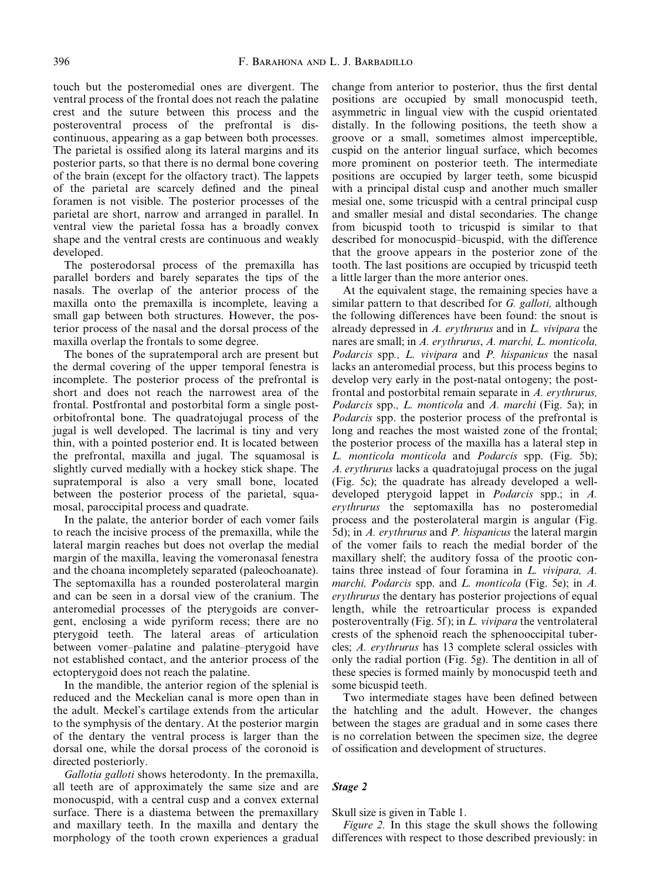touch but the posteromedial ones are divergent. The ventral process of the frontal does not reach the palatine crest and the suture between this process and the posteroventral process of the prefrontal is discontinuous, appearing as a gap between both processes. The parietal is ossified along its lateral margins and its posterior parts, so that there is no dermal bone covering of the brain (except for the olfactory tract). The lappets of the parietal are scarcely defined and the pineal foramen is not visible. The posterior processes of the parietal are short, narrow and arranged in parallel. In ventral view the parietal fossa has a broadly convex shape and the ventral crests are continuous and weakly developed.

The posterodorsal process of the premaxilla has parallel borders and barely separates the tips of the nasals. The overlap of the anterior process of the maxilla onto the premaxilla is incomplete, leaving a small gap between both structures. However, the posterior process of the nasal and the dorsal process of the maxilla overlap the frontals to some degree.

The bones of the supratemporal arch are present but the dermal covering of the upper temporal fenestra is incomplete. The posterior process of the prefrontal is short and does not reach the narrowest area of the frontal. Postfrontal and postorbital form a single postorbitofrontal bone. The quadratojugal process of the jugal is well developed. The lacrimal is tiny and very thin, with a pointed posterior end. It is located between the prefrontal, maxilla and jugal. The squamosal is slightly curved medially with a hockey stick shape. The supratemporal is also a very small bone, located between the posterior process of the parietal, squamosal, paroccipital process and quadrate.

In the palate, the anterior border of each vomer fails to reach the incisive process of the premaxilla, while the lateral margin reaches but does not overlap the medial margin of the maxilla, leaving the vomeronasal fenestra and the choana incompletely separated (paleochoanate). The septomaxilla has a rounded posterolateral margin and can be seen in a dorsal view of the cranium. The anteromedial processes of the pterygoids are convergent, enclosing a wide pyriform recess; there are no pterygoid teeth. The lateral areas of articulation between vomer-palatine and palatine-pterygoid have not established contact, and the anterior process of the ectopterygoid does not reach the palatine.

In the mandible, the anterior region of the splenial is reduced and the Meckelian canal is more open than in the adult. Meckel's cartilage extends from the articular to the symphysis of the dentary. At the posterior margin of the dentary the ventral process is larger than the dorsal one, while the dorsal process of the coronoid is directed posteriorly.

Gallotia galloti shows heterodonty. In the premaxilla, all teeth are of approximately the same size and are monocuspid, with a central cusp and a convex external surface. There is a diastema between the premaxillary and maxillary teeth. In the maxilla and dentary the morphology of the tooth crown experiences a gradual

change from anterior to posterior, thus the first dental positions are occupied by small monocuspid teeth, asymmetric in lingual view with the cuspid orientated distally. In the following positions, the teeth show a groove or a small, sometimes almost imperceptible, cuspid on the anterior lingual surface, which becomes more prominent on posterior teeth. The intermediate positions are occupied by larger teeth, some bicuspid with a principal distal cusp and another much smaller mesial one, some tricuspid with a central principal cusp and smaller mesial and distal secondaries. The change from bicuspid tooth to tricuspid is similar to that described for monocuspid–bicuspid, with the difference that the groove appears in the posterior zone of the tooth. The last positions are occupied by tricuspid teeth a little larger than the more anterior ones.

At the equivalent stage, the remaining species have a similar pattern to that described for G. galloti, although the following differences have been found: the snout is already depressed in A. erythrurus and in L. vivipara the nares are small; in A. erythrurus, A. marchi, L. monticola, Podarcis spp., L. vivipara and P. hispanicus the nasal lacks an anteromedial process, but this process begins to develop very early in the post-natal ontogeny; the postfrontal and postorbital remain separate in A. erythrurus, Podarcis spp., L. monticola and A. marchi (Fig. 5a); in Podarcis spp. the posterior process of the prefrontal is long and reaches the most waisted zone of the frontal; the posterior process of the maxilla has a lateral step in L. monticola monticola and Podarcis spp. (Fig. 5b); A. erythrurus lacks a quadratojugal process on the jugal (Fig. 5c); the quadrate has already developed a welldeveloped pterygoid lappet in Podarcis spp.; in A. erythrurus the septomaxilla has no posteromedial process and the posterolateral margin is angular (Fig. 5d); in A. erythrurus and P. hispanicus the lateral margin of the vomer fails to reach the medial border of the maxillary shelf; the auditory fossa of the prootic contains three instead of four foramina in L. vivipara, A. marchi, Podarcis spp. and L. monticola (Fig. 5e); in A. erythrurus the dentary has posterior projections of equal length, while the retroarticular process is expanded posteroventrally (Fig. 5f); in  $L$ . *vivipara* the ventrolateral crests of the sphenoid reach the sphenooccipital tubercles; A. erythrurus has 13 complete scleral ossicles with only the radial portion (Fig. 5g). The dentition in all of these species is formed mainly by monocuspid teeth and some bicuspid teeth.

Two intermediate stages have been defined between the hatchling and the adult. However, the changes between the stages are gradual and in some cases there is no correlation between the specimen size, the degree of ossification and development of structures.

## Stage 2

Skull size is given in Table 1.

Figure 2. In this stage the skull shows the following differences with respect to those described previously: in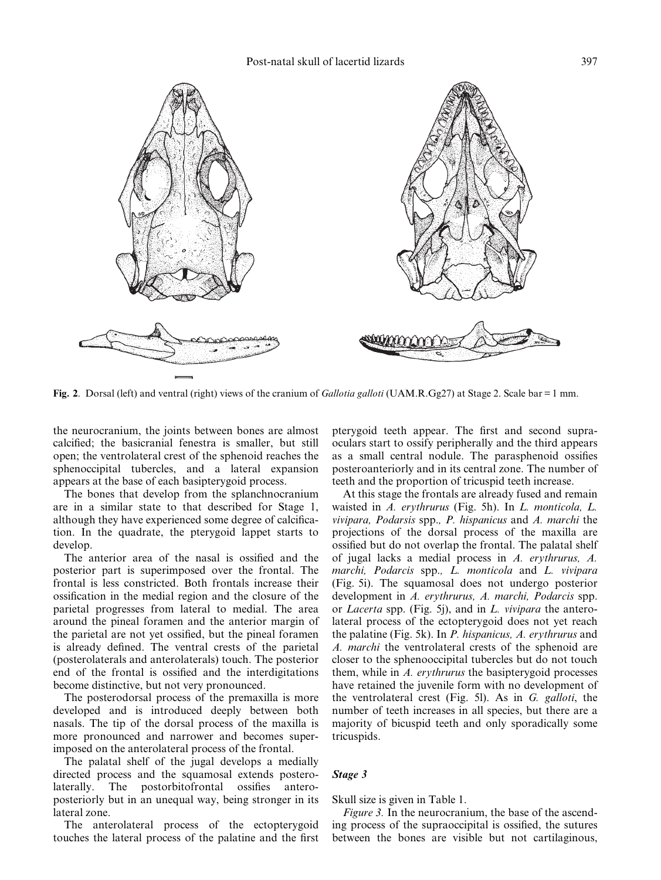

Fig. 2. Dorsal (left) and ventral (right) views of the cranium of *Gallotia galloti* (UAM.R.Gg27) at Stage 2. Scale bar  $= 1$  mm.

the neurocranium, the joints between bones are almost calcified; the basicranial fenestra is smaller, but still open; the ventrolateral crest of the sphenoid reaches the sphenoccipital tubercles, and a lateral expansion appears at the base of each basipterygoid process.

The bones that develop from the splanchnocranium are in a similar state to that described for Stage 1, although they have experienced some degree of calcification. In the quadrate, the pterygoid lappet starts to develop.

The anterior area of the nasal is ossified and the posterior part is superimposed over the frontal. The frontal is less constricted. Both frontals increase their ossification in the medial region and the closure of the parietal progresses from lateral to medial. The area around the pineal foramen and the anterior margin of the parietal are not yet ossified, but the pineal foramen is already defined. The ventral crests of the parietal (posterolaterals and anterolaterals) touch. The posterior end of the frontal is ossified and the interdigitations become distinctive, but not very pronounced.

The posterodorsal process of the premaxilla is more developed and is introduced deeply between both nasals. The tip of the dorsal process of the maxilla is more pronounced and narrower and becomes superimposed on the anterolateral process of the frontal.

The palatal shelf of the jugal develops a medially directed process and the squamosal extends posterolaterally. The postorbitofrontal ossifies anteroposteriorly but in an unequal way, being stronger in its lateral zone.

The anterolateral process of the ectopterygoid touches the lateral process of the palatine and the first

pterygoid teeth appear. The first and second supraoculars start to ossify peripherally and the third appears as a small central nodule. The parasphenoid ossifies posteroanteriorly and in its central zone. The number of teeth and the proportion of tricuspid teeth increase.

At this stage the frontals are already fused and remain waisted in A. erythrurus (Fig. 5h). In L. monticola, L. vivipara, Podarsis spp., P. hispanicus and A. marchi the projections of the dorsal process of the maxilla are ossified but do not overlap the frontal. The palatal shelf of jugal lacks a medial process in A. erythrurus, A. marchi, Podarcis spp., L. monticola and L. vivipara (Fig. 5i). The squamosal does not undergo posterior development in A. erythrurus, A. marchi, Podarcis spp. or Lacerta spp. (Fig. 5j), and in L. vivipara the anterolateral process of the ectopterygoid does not yet reach the palatine (Fig. 5k). In P. hispanicus, A. erythrurus and A. marchi the ventrolateral crests of the sphenoid are closer to the sphenooccipital tubercles but do not touch them, while in A. erythrurus the basipterygoid processes have retained the juvenile form with no development of the ventrolateral crest (Fig. 5l). As in G. galloti, the number of teeth increases in all species, but there are a majority of bicuspid teeth and only sporadically some tricuspids.

# Stage 3

Skull size is given in Table 1.

Figure 3. In the neurocranium, the base of the ascending process of the supraoccipital is ossified, the sutures between the bones are visible but not cartilaginous,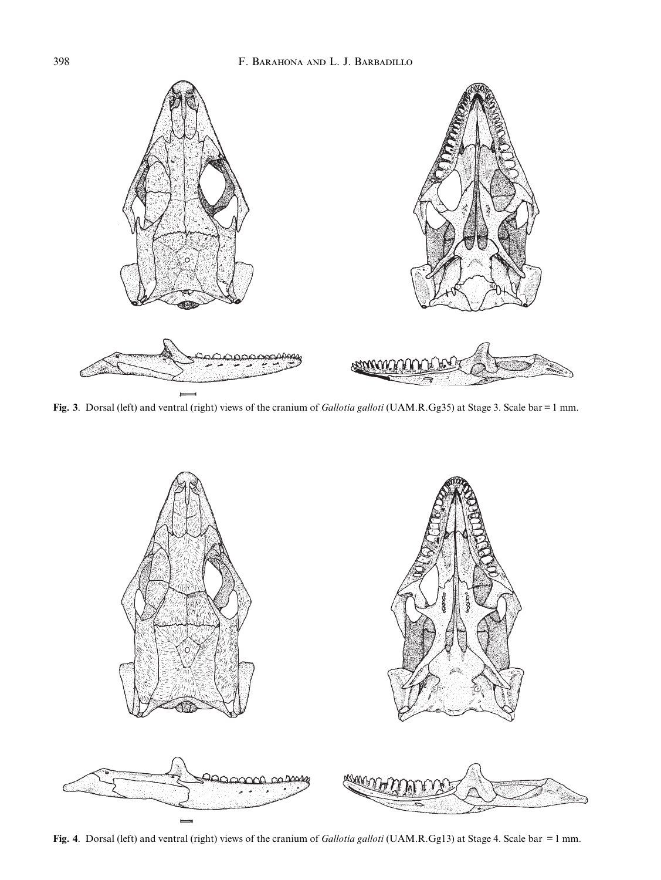

Fig. 3. Dorsal (left) and ventral (right) views of the cranium of Gallotia galloti (UAM.R.Gg35) at Stage 3. Scale bar = 1 mm.



Fig. 4. Dorsal (left) and ventral (right) views of the cranium of Gallotia galloti (UAM.R.Gg13) at Stage 4. Scale bar = 1 mm.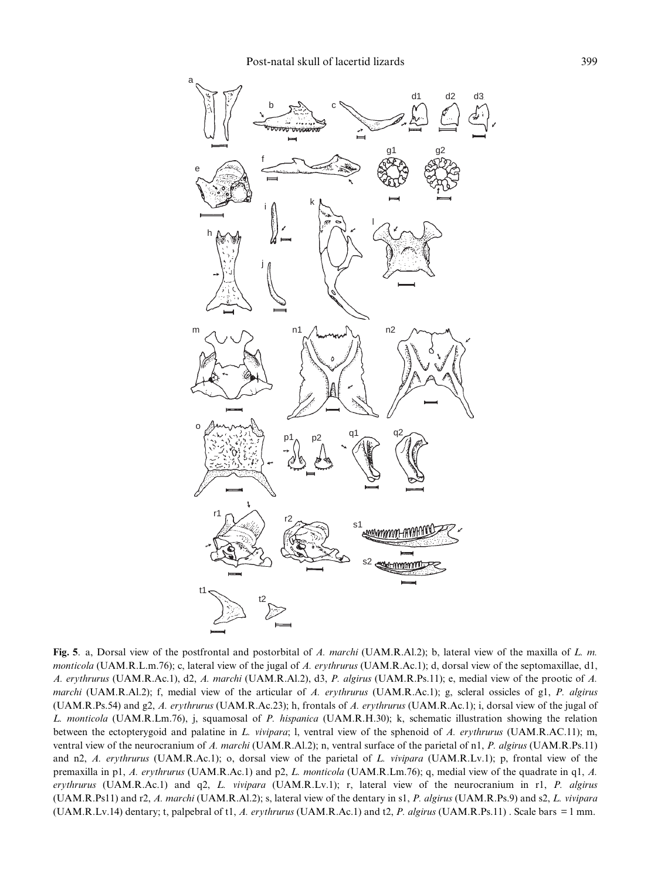

Fig. 5. a, Dorsal view of the postfrontal and postorbital of A. marchi (UAM.R.Al.2); b, lateral view of the maxilla of L. m. monticola (UAM.R.L.m.76); c, lateral view of the jugal of A. erythrurus (UAM.R.Ac.1); d, dorsal view of the septomaxillae, d1, A. erythrurus (UAM.R.Ac.1), d2, A. marchi (UAM.R.Al.2), d3, P. algirus (UAM.R.Ps.11); e, medial view of the prootic of A. marchi (UAM.R.Al.2); f, medial view of the articular of A. erythrurus (UAM.R.Ac.1); g, scleral ossicles of g1, P. algirus (UAM.R.Ps.54) and g2, A. erythrurus (UAM.R.Ac.23); h, frontals of A. erythrurus (UAM.R.Ac.1); i, dorsal view of the jugal of L. monticola (UAM.R.Lm.76), j, squamosal of P. hispanica (UAM.R.H.30); k, schematic illustration showing the relation between the ectopterygoid and palatine in L. vivipara; l, ventral view of the sphenoid of A. erythrurus (UAM.R.AC.11); m, ventral view of the neurocranium of A. marchi (UAM.R.Al.2); n, ventral surface of the parietal of n1, P. algirus (UAM.R.Ps.11) and n2, A. erythrurus (UAM.R.Ac.1); o, dorsal view of the parietal of L. vivipara (UAM.R.Lv.1); p, frontal view of the premaxilla in p1, A. erythrurus (UAM.R.Ac.1) and p2, L. monticola (UAM.R.Lm.76); q, medial view of the quadrate in q1, A. erythrurus (UAM.R.Ac.1) and q2, L. vivipara (UAM.R.Lv.1); r, lateral view of the neurocranium in r1, P. algirus (UAM.R.Ps11) and r2, A. marchi (UAM.R.Al.2); s, lateral view of the dentary in s1, P. algirus (UAM.R.Ps.9) and s2, L. vivipara (UAM.R.Lv.14) dentary; t, palpebral of t1, A. erythrurus (UAM.R.Ac.1) and t2, P. algirus (UAM.R.Ps.11). Scale bars = 1 mm.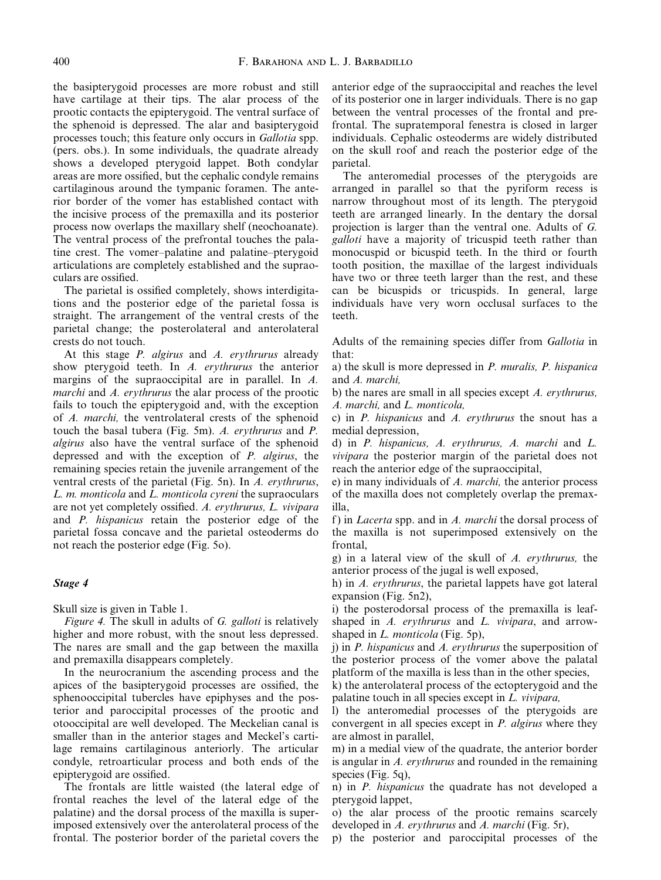the basipterygoid processes are more robust and still have cartilage at their tips. The alar process of the prootic contacts the epipterygoid. The ventral surface of the sphenoid is depressed. The alar and basipterygoid processes touch; this feature only occurs in Gallotia spp. (pers. obs.). In some individuals, the quadrate already shows a developed pterygoid lappet. Both condylar areas are more ossified, but the cephalic condyle remains cartilaginous around the tympanic foramen. The anterior border of the vomer has established contact with the incisive process of the premaxilla and its posterior process now overlaps the maxillary shelf (neochoanate). The ventral process of the prefrontal touches the palatine crest. The vomer-palatine and palatine-pterygoid articulations are completely established and the supraoculars are ossified.

The parietal is ossified completely, shows interdigitations and the posterior edge of the parietal fossa is straight. The arrangement of the ventral crests of the parietal change; the posterolateral and anterolateral crests do not touch.

At this stage P. algirus and A. erythrurus already show pterygoid teeth. In A. erythrurus the anterior margins of the supraoccipital are in parallel. In A. marchi and A. erythrurus the alar process of the prootic fails to touch the epipterygoid and, with the exception of A. marchi, the ventrolateral crests of the sphenoid touch the basal tubera (Fig. 5m). A. erythrurus and P. algirus also have the ventral surface of the sphenoid depressed and with the exception of P. algirus, the remaining species retain the juvenile arrangement of the ventral crests of the parietal (Fig. 5n). In A. erythrurus, L. m. monticola and L. monticola cyreni the supraoculars are not yet completely ossified. A. erythrurus, L. vivipara and P. hispanicus retain the posterior edge of the parietal fossa concave and the parietal osteoderms do not reach the posterior edge (Fig. 5o).

#### Stage 4

Skull size is given in Table 1.

Figure 4. The skull in adults of G. galloti is relatively higher and more robust, with the snout less depressed. The nares are small and the gap between the maxilla and premaxilla disappears completely.

In the neurocranium the ascending process and the apices of the basipterygoid processes are ossified, the sphenooccipital tubercles have epiphyses and the posterior and paroccipital processes of the prootic and otooccipital are well developed. The Meckelian canal is smaller than in the anterior stages and Meckel's cartilage remains cartilaginous anteriorly. The articular condyle, retroarticular process and both ends of the epipterygoid are ossified.

The frontals are little waisted (the lateral edge of frontal reaches the level of the lateral edge of the palatine) and the dorsal process of the maxilla is superimposed extensively over the anterolateral process of the frontal. The posterior border of the parietal covers the anterior edge of the supraoccipital and reaches the level of its posterior one in larger individuals. There is no gap between the ventral processes of the frontal and prefrontal. The supratemporal fenestra is closed in larger individuals. Cephalic osteoderms are widely distributed on the skull roof and reach the posterior edge of the parietal.

The anteromedial processes of the pterygoids are arranged in parallel so that the pyriform recess is narrow throughout most of its length. The pterygoid teeth are arranged linearly. In the dentary the dorsal projection is larger than the ventral one. Adults of G. galloti have a majority of tricuspid teeth rather than monocuspid or bicuspid teeth. In the third or fourth tooth position, the maxillae of the largest individuals have two or three teeth larger than the rest, and these can be bicuspids or tricuspids. In general, large individuals have very worn occlusal surfaces to the teeth.

Adults of the remaining species differ from Gallotia in that:

a) the skull is more depressed in P. muralis, P. hispanica and A. marchi,

b) the nares are small in all species except A. erythrurus, A. marchi, and L. monticola,

c) in  $P$ . hispanicus and  $A$ . erythrurus the snout has a medial depression,

d) in P. hispanicus, A. erythrurus, A. marchi and L. vivipara the posterior margin of the parietal does not reach the anterior edge of the supraoccipital,

e) in many individuals of A. marchi, the anterior process of the maxilla does not completely overlap the premaxilla,

f ) in Lacerta spp. and in A. marchi the dorsal process of the maxilla is not superimposed extensively on the frontal,

g) in a lateral view of the skull of A. erythrurus, the anterior process of the jugal is well exposed,

h) in A. erythrurus, the parietal lappets have got lateral expansion (Fig. 5n2),

i) the posterodorsal process of the premaxilla is leafshaped in A. erythrurus and L. vivipara, and arrowshaped in *L. monticola* (Fig. 5p),

j) in P. hispanicus and A. erythrurus the superposition of the posterior process of the vomer above the palatal platform of the maxilla is less than in the other species,

k) the anterolateral process of the ectopterygoid and the palatine touch in all species except in L. vivipara,

l) the anteromedial processes of the pterygoids are convergent in all species except in *P. algirus* where they are almost in parallel,

m) in a medial view of the quadrate, the anterior border is angular in A. erythrurus and rounded in the remaining species (Fig. 5q),

n) in P. hispanicus the quadrate has not developed a pterygoid lappet,

o) the alar process of the prootic remains scarcely developed in A. erythrurus and A. marchi (Fig. 5r),

p) the posterior and paroccipital processes of the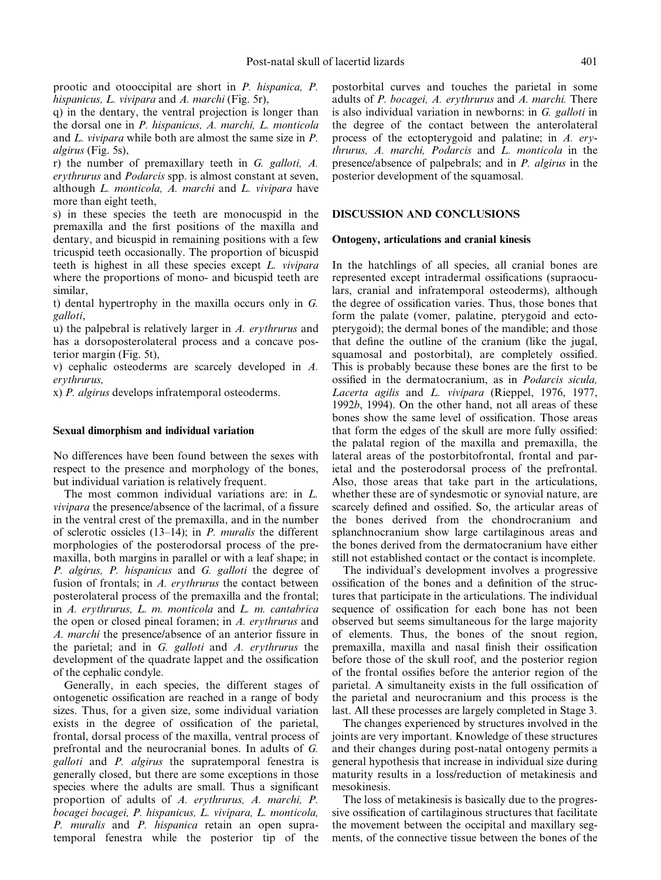prootic and otooccipital are short in P. hispanica, P. hispanicus, L. vivipara and A. marchi (Fig. 5r),

q) in the dentary, the ventral projection is longer than the dorsal one in P. hispanicus, A. marchi, L. monticola and L. vivipara while both are almost the same size in P. algirus (Fig. 5s),

r) the number of premaxillary teeth in G. galloti, A. erythrurus and Podarcis spp. is almost constant at seven, although L. monticola, A. marchi and L. vivipara have more than eight teeth,

s) in these species the teeth are monocuspid in the premaxilla and the first positions of the maxilla and dentary, and bicuspid in remaining positions with a few tricuspid teeth occasionally. The proportion of bicuspid teeth is highest in all these species except L. vivipara where the proportions of mono- and bicuspid teeth are similar,

t) dental hypertrophy in the maxilla occurs only in G. galloti,

u) the palpebral is relatively larger in A. erythrurus and has a dorsoposterolateral process and a concave posterior margin (Fig. 5t),

v) cephalic osteoderms are scarcely developed in A. erythrurus,

x) P. algirus develops infratemporal osteoderms.

#### Sexual dimorphism and individual variation

No differences have been found between the sexes with respect to the presence and morphology of the bones, but individual variation is relatively frequent.

The most common individual variations are: in L. *vivipara* the presence/absence of the lacrimal, of a fissure in the ventral crest of the premaxilla, and in the number of sclerotic ossicles  $(13-14)$ ; in *P. muralis* the different morphologies of the posterodorsal process of the premaxilla, both margins in parallel or with a leaf shape; in P. algirus, P. hispanicus and G. galloti the degree of fusion of frontals; in A. erythrurus the contact between posterolateral process of the premaxilla and the frontal; in A. erythrurus, L. m. monticola and L. m. cantabrica the open or closed pineal foramen; in A. erythrurus and A. marchi the presence/absence of an anterior fissure in the parietal; and in G. galloti and A. erythrurus the development of the quadrate lappet and the ossification of the cephalic condyle.

Generally, in each species, the different stages of ontogenetic ossification are reached in a range of body sizes. Thus, for a given size, some individual variation exists in the degree of ossification of the parietal, frontal, dorsal process of the maxilla, ventral process of prefrontal and the neurocranial bones. In adults of G. galloti and P. algirus the supratemporal fenestra is generally closed, but there are some exceptions in those species where the adults are small. Thus a significant proportion of adults of A. erythrurus, A. marchi, P. bocagei bocagei, P. hispanicus, L. vivipara, L. monticola, P. muralis and P. hispanica retain an open supratemporal fenestra while the posterior tip of the postorbital curves and touches the parietal in some adults of P. bocagei, A. erythrurus and A. marchi. There is also individual variation in newborns: in G. galloti in the degree of the contact between the anterolateral process of the ectopterygoid and palatine; in A. erythrurus, A. marchi, Podarcis and L. monticola in the presence/absence of palpebrals; and in P. algirus in the posterior development of the squamosal.

# DISCUSSION AND CONCLUSIONS

#### Ontogeny, articulations and cranial kinesis

In the hatchlings of all species, all cranial bones are represented except intradermal ossifications (supraoculars, cranial and infratemporal osteoderms), although the degree of ossification varies. Thus, those bones that form the palate (vomer, palatine, pterygoid and ectopterygoid); the dermal bones of the mandible; and those that define the outline of the cranium (like the jugal, squamosal and postorbital), are completely ossified. This is probably because these bones are the first to be ossified in the dermatocranium, as in Podarcis sicula, Lacerta agilis and L. vivipara (Rieppel, 1976, 1977, 1992b, 1994). On the other hand, not all areas of these bones show the same level of ossification. Those areas that form the edges of the skull are more fully ossified: the palatal region of the maxilla and premaxilla, the lateral areas of the postorbitofrontal, frontal and parietal and the posterodorsal process of the prefrontal. Also, those areas that take part in the articulations, whether these are of syndesmotic or synovial nature, are scarcely defined and ossified. So, the articular areas of the bones derived from the chondrocranium and splanchnocranium show large cartilaginous areas and the bones derived from the dermatocranium have either still not established contact or the contact is incomplete.

The individual's development involves a progressive ossification of the bones and a definition of the structures that participate in the articulations. The individual sequence of ossification for each bone has not been observed but seems simultaneous for the large majority of elements. Thus, the bones of the snout region, premaxilla, maxilla and nasal finish their ossification before those of the skull roof, and the posterior region of the frontal ossifies before the anterior region of the parietal. A simultaneity exists in the full ossification of the parietal and neurocranium and this process is the last. All these processes are largely completed in Stage 3.

The changes experienced by structures involved in the joints are very important. Knowledge of these structures and their changes during post-natal ontogeny permits a general hypothesis that increase in individual size during maturity results in a loss/reduction of metakinesis and mesokinesis.

The loss of metakinesis is basically due to the progressive ossification of cartilaginous structures that facilitate the movement between the occipital and maxillary segments, of the connective tissue between the bones of the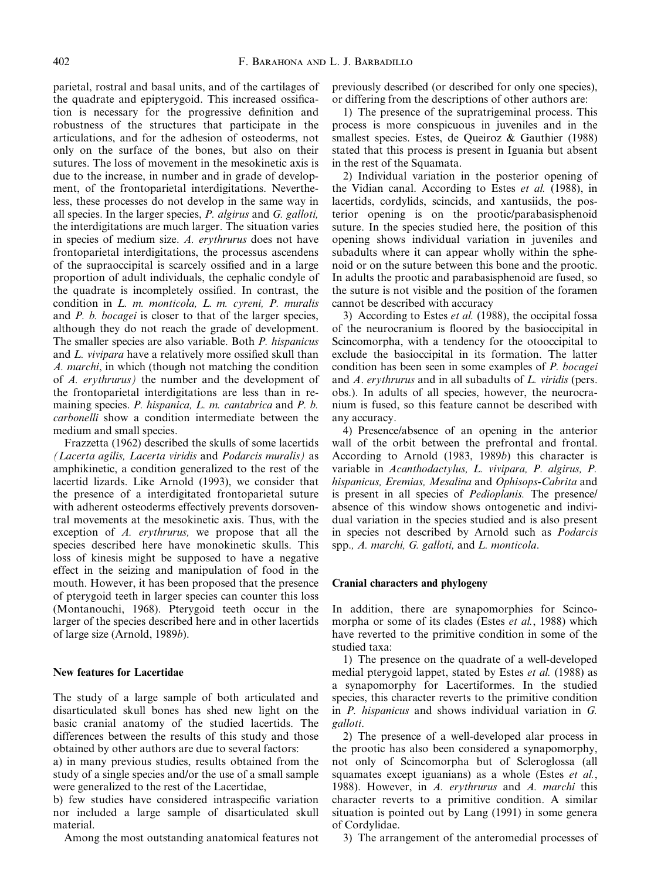parietal, rostral and basal units, and of the cartilages of the quadrate and epipterygoid. This increased ossification is necessary for the progressive definition and robustness of the structures that participate in the articulations, and for the adhesion of osteoderms, not only on the surface of the bones, but also on their sutures. The loss of movement in the mesokinetic axis is due to the increase, in number and in grade of development, of the frontoparietal interdigitations. Nevertheless, these processes do not develop in the same way in all species. In the larger species, P. algirus and G. galloti, the interdigitations are much larger. The situation varies in species of medium size. A. erythrurus does not have frontoparietal interdigitations, the processus ascendens of the supraoccipital is scarcely ossified and in a large proportion of adult individuals, the cephalic condyle of the quadrate is incompletely ossified. In contrast, the condition in L. m. monticola, L. m. cyreni, P. muralis and P. b. bocagei is closer to that of the larger species, although they do not reach the grade of development. The smaller species are also variable. Both P. hispanicus and  $L$ . *vivipara* have a relatively more ossified skull than A. marchi, in which (though not matching the condition of A. erythrurus) the number and the development of the frontoparietal interdigitations are less than in remaining species. P. hispanica, L. m. cantabrica and P. b. carbonelli show a condition intermediate between the medium and small species.

Frazzetta (1962) described the skulls of some lacertids (Lacerta agilis, Lacerta viridis and Podarcis muralis) as amphikinetic, a condition generalized to the rest of the lacertid lizards. Like Arnold (1993), we consider that the presence of a interdigitated frontoparietal suture with adherent osteoderms effectively prevents dorsoventral movements at the mesokinetic axis. Thus, with the exception of A. erythrurus, we propose that all the species described here have monokinetic skulls. This loss of kinesis might be supposed to have a negative effect in the seizing and manipulation of food in the mouth. However, it has been proposed that the presence of pterygoid teeth in larger species can counter this loss (Montanouchi, 1968). Pterygoid teeth occur in the larger of the species described here and in other lacertids of large size (Arnold, 1989b).

# New features for Lacertidae

The study of a large sample of both articulated and disarticulated skull bones has shed new light on the basic cranial anatomy of the studied lacertids. The differences between the results of this study and those obtained by other authors are due to several factors:

a) in many previous studies, results obtained from the study of a single species and/or the use of a small sample were generalized to the rest of the Lacertidae,

b) few studies have considered intraspecific variation nor included a large sample of disarticulated skull material.

Among the most outstanding anatomical features not

previously described (or described for only one species), or differing from the descriptions of other authors are:

1) The presence of the supratrigeminal process. This process is more conspicuous in juveniles and in the smallest species. Estes, de Queiroz & Gauthier (1988) stated that this process is present in Iguania but absent in the rest of the Squamata.

2) Individual variation in the posterior opening of the Vidian canal. According to Estes et al. (1988), in lacertids, cordylids, scincids, and xantusiids, the posterior opening is on the prootic/parabasisphenoid suture. In the species studied here, the position of this opening shows individual variation in juveniles and subadults where it can appear wholly within the sphenoid or on the suture between this bone and the prootic. In adults the prootic and parabasisphenoid are fused, so the suture is not visible and the position of the foramen cannot be described with accuracy

3) According to Estes et al. (1988), the occipital fossa of the neurocranium is floored by the basioccipital in Scincomorpha, with a tendency for the otooccipital to exclude the basioccipital in its formation. The latter condition has been seen in some examples of P. bocagei and A. erythrurus and in all subadults of L. viridis (pers. obs.). In adults of all species, however, the neurocranium is fused, so this feature cannot be described with any accuracy.

4) Presence/absence of an opening in the anterior wall of the orbit between the prefrontal and frontal. According to Arnold (1983, 1989b) this character is variable in Acanthodactylus, L. vivipara, P. algirus, P. hispanicus, Eremias, Mesalina and Ophisops-Cabrita and is present in all species of Pedioplanis. The presence/ absence of this window shows ontogenetic and individual variation in the species studied and is also present in species not described by Arnold such as Podarcis spp., A. marchi, G. galloti, and L. monticola.

#### Cranial characters and phylogeny

In addition, there are synapomorphies for Scincomorpha or some of its clades (Estes *et al.*, 1988) which have reverted to the primitive condition in some of the studied taxa:

1) The presence on the quadrate of a well-developed medial pterygoid lappet, stated by Estes et al. (1988) as a synapomorphy for Lacertiformes. In the studied species, this character reverts to the primitive condition in P. hispanicus and shows individual variation in G. galloti.

2) The presence of a well-developed alar process in the prootic has also been considered a synapomorphy, not only of Scincomorpha but of Scleroglossa (all squamates except iguanians) as a whole (Estes et al., 1988). However, in A. erythrurus and A. marchi this character reverts to a primitive condition. A similar situation is pointed out by Lang (1991) in some genera of Cordylidae.

3) The arrangement of the anteromedial processes of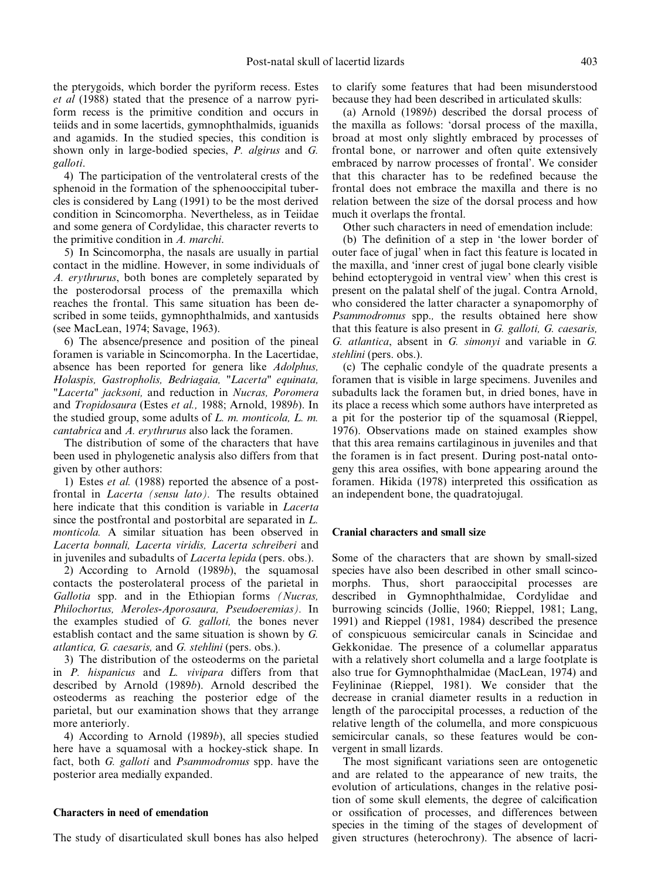the pterygoids, which border the pyriform recess. Estes et al (1988) stated that the presence of a narrow pyriform recess is the primitive condition and occurs in teiids and in some lacertids, gymnophthalmids, iguanids and agamids. In the studied species, this condition is shown only in large-bodied species, P. algirus and G. galloti.

4) The participation of the ventrolateral crests of the sphenoid in the formation of the sphenooccipital tubercles is considered by Lang (1991) to be the most derived condition in Scincomorpha. Nevertheless, as in Teiidae and some genera of Cordylidae, this character reverts to the primitive condition in A. marchi.

5) In Scincomorpha, the nasals are usually in partial contact in the midline. However, in some individuals of A. erythrurus, both bones are completely separated by the posterodorsal process of the premaxilla which reaches the frontal. This same situation has been described in some teiids, gymnophthalmids, and xantusids (see MacLean, 1974; Savage, 1963).

6) The absence/presence and position of the pineal foramen is variable in Scincomorpha. In the Lacertidae, absence has been reported for genera like Adolphus, Holaspis, Gastropholis, Bedriagaia, "Lacerta" equinata, "Lacerta" jacksoni, and reduction in Nucras, Poromera and Tropidosaura (Estes et al., 1988; Arnold, 1989b). In the studied group, some adults of L. m. monticola, L. m. cantabrica and A. erythrurus also lack the foramen.

The distribution of some of the characters that have been used in phylogenetic analysis also differs from that given by other authors:

1) Estes et al. (1988) reported the absence of a postfrontal in Lacerta (sensu lato). The results obtained here indicate that this condition is variable in Lacerta since the postfrontal and postorbital are separated in L. monticola. A similar situation has been observed in Lacerta bonnali, Lacerta viridis, Lacerta schreiberi and in juveniles and subadults of Lacerta lepida (pers. obs.).

2) According to Arnold (1989b), the squamosal contacts the posterolateral process of the parietal in Gallotia spp. and in the Ethiopian forms (Nucras, Philochortus, Meroles-Aporosaura, Pseudoeremias). In the examples studied of G. galloti, the bones never establish contact and the same situation is shown by G. atlantica, G. caesaris, and G. stehlini (pers. obs.).

3) The distribution of the osteoderms on the parietal in P. hispanicus and L. vivipara differs from that described by Arnold (1989b). Arnold described the osteoderms as reaching the posterior edge of the parietal, but our examination shows that they arrange more anteriorly.

4) According to Arnold (1989b), all species studied here have a squamosal with a hockey-stick shape. In fact, both G. galloti and Psammodromus spp. have the posterior area medially expanded.

#### Characters in need of emendation

The study of disarticulated skull bones has also helped

to clarify some features that had been misunderstood because they had been described in articulated skulls:

(a) Arnold (1989b) described the dorsal process of the maxilla as follows: `dorsal process of the maxilla, broad at most only slightly embraced by processes of frontal bone, or narrower and often quite extensively embraced by narrow processes of frontal'. We consider that this character has to be redefined because the frontal does not embrace the maxilla and there is no relation between the size of the dorsal process and how much it overlaps the frontal.

Other such characters in need of emendation include:

(b) The definition of a step in 'the lower border of outer face of jugal' when in fact this feature is located in the maxilla, and `inner crest of jugal bone clearly visible behind ectopterygoid in ventral view' when this crest is present on the palatal shelf of the jugal. Contra Arnold, who considered the latter character a synapomorphy of Psammodromus spp., the results obtained here show that this feature is also present in G. galloti, G. caesaris, G. atlantica, absent in G. simonyi and variable in G. stehlini (pers. obs.).

(c) The cephalic condyle of the quadrate presents a foramen that is visible in large specimens. Juveniles and subadults lack the foramen but, in dried bones, have in its place a recess which some authors have interpreted as a pit for the posterior tip of the squamosal (Rieppel, 1976). Observations made on stained examples show that this area remains cartilaginous in juveniles and that the foramen is in fact present. During post-natal ontogeny this area ossifies, with bone appearing around the foramen. Hikida (1978) interpreted this ossification as an independent bone, the quadratojugal.

## Cranial characters and small size

Some of the characters that are shown by small-sized species have also been described in other small scincomorphs. Thus, short paraoccipital processes are described in Gymnophthalmidae, Cordylidae and burrowing scincids (Jollie, 1960; Rieppel, 1981; Lang, 1991) and Rieppel (1981, 1984) described the presence of conspicuous semicircular canals in Scincidae and Gekkonidae. The presence of a columellar apparatus with a relatively short columella and a large footplate is also true for Gymnophthalmidae (MacLean, 1974) and Feylininae (Rieppel, 1981). We consider that the decrease in cranial diameter results in a reduction in length of the paroccipital processes, a reduction of the relative length of the columella, and more conspicuous semicircular canals, so these features would be convergent in small lizards.

The most significant variations seen are ontogenetic and are related to the appearance of new traits, the evolution of articulations, changes in the relative position of some skull elements, the degree of calcification or ossification of processes, and differences between species in the timing of the stages of development of given structures (heterochrony). The absence of lacri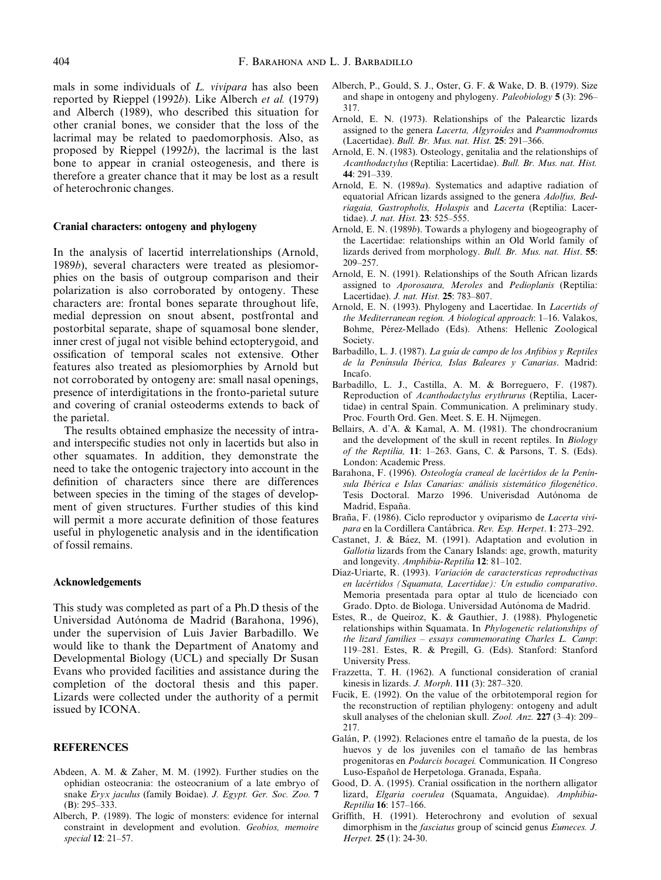mals in some individuals of L. *vivipara* has also been reported by Rieppel (1992b). Like Alberch et al. (1979) and Alberch (1989), who described this situation for other cranial bones, we consider that the loss of the lacrimal may be related to paedomorphosis. Also, as proposed by Rieppel (1992b), the lacrimal is the last bone to appear in cranial osteogenesis, and there is therefore a greater chance that it may be lost as a result of heterochronic changes.

## Cranial characters: ontogeny and phylogeny

In the analysis of lacertid interrelationships (Arnold, 1989b), several characters were treated as plesiomorphies on the basis of outgroup comparison and their polarization is also corroborated by ontogeny. These characters are: frontal bones separate throughout life, medial depression on snout absent, postfrontal and postorbital separate, shape of squamosal bone slender, inner crest of jugal not visible behind ectopterygoid, and ossification of temporal scales not extensive. Other features also treated as plesiomorphies by Arnold but not corroborated by ontogeny are: small nasal openings, presence of interdigitations in the fronto-parietal suture and covering of cranial osteoderms extends to back of the parietal.

The results obtained emphasize the necessity of intraand interspecific studies not only in lacertids but also in other squamates. In addition, they demonstrate the need to take the ontogenic trajectory into account in the definition of characters since there are differences between species in the timing of the stages of development of given structures. Further studies of this kind will permit a more accurate definition of those features useful in phylogenetic analysis and in the identification of fossil remains.

#### Acknowledgements

This study was completed as part of a Ph.D thesis of the Universidad Autónoma de Madrid (Barahona, 1996), under the supervision of Luis Javier Barbadillo. We would like to thank the Department of Anatomy and Developmental Biology (UCL) and specially Dr Susan Evans who provided facilities and assistance during the completion of the doctoral thesis and this paper. Lizards were collected under the authority of a permit issued by ICONA.

#### **REFERENCES**

- Abdeen, A. M. & Zaher, M. M. (1992). Further studies on the ophidian osteocrania: the osteocranium of a late embryo of snake Eryx jaculus (family Boidae). J. Egypt. Ger. Soc. Zoo. 7  $(B)$ : 295-333.
- Alberch, P. (1989). The logic of monsters: evidence for internal constraint in development and evolution. Geobios, memoire special 12: 21-57.
- Alberch, P., Gould, S. J., Oster, G. F. & Wake, D. B. (1979). Size and shape in ontogeny and phylogeny. Paleobiology  $5$  (3): 296 $-$ 317.
- Arnold, E. N. (1973). Relationships of the Palearctic lizards assigned to the genera Lacerta, Algyroides and Psammodromus (Lacertidae). Bull. Br. Mus. nat. Hist.  $25: 291-366$ .
- Arnold, E. N. (1983). Osteology, genitalia and the relationships of Acanthodactylus (Reptilia: Lacertidae). Bull. Br. Mus. nat. Hist.  $44:291-339$ .
- Arnold, E. N. (1989a). Systematics and adaptive radiation of equatorial African lizards assigned to the genera Adolfus, Bedriagaia, Gastropholis, Holaspis and Lacerta (Reptilia: Lacertidae). J. nat. Hist. 23: 525-555.
- Arnold, E. N. (1989b). Towards a phylogeny and biogeography of the Lacertidae: relationships within an Old World family of lizards derived from morphology. Bull. Br. Mus. nat. Hist. 55: 209±257.
- Arnold, E. N. (1991). Relationships of the South African lizards assigned to Aporosaura, Meroles and Pedioplanis (Reptilia: Lacertidae). J. nat. Hist. 25: 783-807.
- Arnold, E. N. (1993). Phylogeny and Lacertidae. In Lacertids of the Mediterranean region. A biological approach:  $1-16$ . Valakos, Bohme, Pérez-Mellado (Eds). Athens: Hellenic Zoological Society.
- Barbadillo, L. J. (1987). La guía de campo de los Anfibios y Reptiles de la Península Ibérica, Islas Baleares y Canarias. Madrid: Incafo.
- Barbadillo, L. J., Castilla, A. M. & Borreguero, F. (1987). Reproduction of Acanthodactylus erythrurus (Reptilia, Lacertidae) in central Spain. Communication. A preliminary study. Proc. Fourth Ord. Gen. Meet. S. E. H. Nijmegen.
- Bellairs, A. d'A. & Kamal, A. M. (1981). The chondrocranium and the development of the skull in recent reptiles. In Biology of the Reptilia, 11: 1-263. Gans, C. & Parsons, T. S. (Eds). London: Academic Press.
- Barahona, F. (1996). Osteología craneal de lacértidos de la Península Ibérica e Islas Canarias: análisis sistemático filogenético. Tesis Doctoral. Marzo 1996. Univerisdad Autónoma de Madrid, España.
- Braña, F. (1986). Ciclo reproductor y oviparismo de Lacerta vivipara en la Cordillera Cantábrica. Rev. Esp. Herpet. 1: 273-292.
- Castanet, J. & Báez, M. (1991). Adaptation and evolution in Gallotia lizards from the Canary Islands: age, growth, maturity and longevity. Amphibia-Reptilia 12: 81-102.
- Díaz-Uriarte, R. (1993). *Variación de caractersticas reproductivas* en lacértidos (Squamata, Lacertidae): Un estudio comparativo. Memoria presentada para optar al tulo de licenciado con Grado. Dpto. de Biologa. Universidad Autónoma de Madrid.
- Estes, R., de Queiroz, K. & Gauthier, J. (1988). Phylogenetic relationships within Squamata. In Phylogenetic relationships of the lizard families  $-$  essays commemorating Charles L. Camp: 119-281. Estes, R. & Pregill, G. (Eds). Stanford: Stanford University Press.
- Frazzetta, T. H. (1962). A functional consideration of cranial kinesis in lizards. J. Morph.  $111$  (3): 287-320.
- Fucik, E. (1992). On the value of the orbitotemporal region for the reconstruction of reptilian phylogeny: ontogeny and adult skull analyses of the chelonian skull. Zool. Anz. 227 (3-4): 209-217.
- Galán, P. (1992). Relaciones entre el tamaño de la puesta, de los huevos y de los juveniles con el tamaño de las hembras progenitoras en Podarcis bocagei. Communication. II Congreso Luso-Español de Herpetologa. Granada, España.
- Good, D. A. (1995). Cranial ossification in the northern alligator lizard, Elgaria coerulea (Squamata, Anguidae). Amphibia-Reptilia 16: 157-166.
- Griffith, H. (1991). Heterochrony and evolution of sexual dimorphism in the *fasciatus* group of scincid genus *Eumeces. J.* Herpet. 25 (1): 24-30.